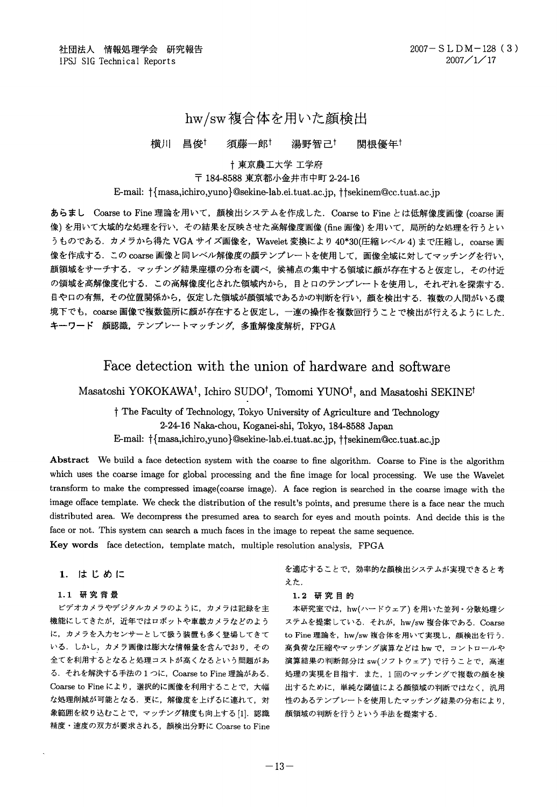# hw/sw複合体を用いた顔検出

#### 昌俊t 須藤一郎 横川 湯野智己† 関根優年

## 十東京農工大学 工学府 〒 184-8588 東京都小金井市中町 2-24-16

#### E-mail:  $\{\{\text{masa}, \text{ichiro}, \text{yuno}\}\$ @sekine-lab.ei.tuat.ac.jp,  $\{\text{fsekinem@cc.tuat.ac.jp}\}$

あらまし Coarse to Fine 理論を用いて、顔検出システムを作成した. Coarse to Fine とは低解像度画像 (coarse 画 像)を用いて大域的な処理を行い、その結果を反映させた高解像度画像 (fine 画像)を用いて、局所的な処理を行うとい うものである. カメラから得た VGA サイズ画像を, Wavelet 変換により 40\*30(圧縮レベル 4) まで圧縮し, coarse 画 像を作成する. この coarse 画像と同レベル解像度の顔テンプレートを使用して、画像全域に対してマッチングを行い、 顔領域をサーチする。マッチング結果座標の分布を調べ、候補点の集中する領域に顔が存在すると仮定し、その付近 の領域を高解像度化する。この高解像度化された領域内から、目と口のテンプレートを使用し、それぞれを探索する。 目や口の有無、その位置関係から、仮定した領域が顔領域であるかの判断を行い、顔を検出する、複数の人間がいる環 境下でも, coarse 画像で複数箇所に顔が存在すると仮定し, 一連の操作を複数回行うことで検出が行えるようにした. キーワード 顔認識、テンプレートマッチング、多重解像度解析、FPGA

# Face detection with the union of hardware and software

## Masatoshi YOKOKAWA<sup>†</sup>, Ichiro SUDO<sup>†</sup>, Tomomi YUNO<sup>†</sup>, and Masatoshi SEKINE<sup>†</sup>

<sup>†</sup> The Faculty of Technology, Tokyo University of Agriculture and Technology 2-24-16 Naka-chou, Koganei-shi, Tokyo, 184-8588 Japan E-mail:  $\{\{\text{masa}, \text{ichiro}, \text{yuno}\}$ @sekine-lab.ei.tuat.ac.jp,  $\{\text{tsekinem@cc.tuat.ac.jp}\}$ 

Abstract We build a face detection system with the coarse to fine algorithm. Coarse to Fine is the algorithm which uses the coarse image for global processing and the fine image for local processing. We use the Wavelet transform to make the compressed image(coarse image). A face region is searched in the coarse image with the image offace template. We check the distribution of the result's points, and presume there is a face near the much distributed area. We decompress the presumed area to search for eyes and mouth points. And decide this is the face or not. This system can search a much faces in the image to repeat the same sequence.

Key words face detection, template match, multiple resolution analysis, FPGA

#### 1. はじめに

#### 1.1 研究背景

ビデオカメラやデジタルカメラのように、カメラは記録を主 機能にしてきたが、近年ではロボットや車載カメラなどのよう に、カメラを入力センサーとして扱う装置も多く登場してきて いる。しかし、カメラ画像は膨大な情報量を含んでおり、その 全てを利用するとなると処理コストが高くなるという問題があ る. それを解決する手法の1つに、Coarse to Fine 理論がある. Coarse to Fine により、選択的に画像を利用することで、大幅 な処理削減が可能となる。更に、解像度を上げるに連れて、対 象範囲を絞り込むことで、マッチング精度も向上する [1]. 認識 精度・速度の双方が要求される、顔検出分野に Coarse to Fine を適応することで、効率的な顔検出システムが実現できると考 えた.

#### 1.2 研究目的

本研究室では、hw(ハードウェア)を用いた並列·分散処理シ ステムを提案している、それが、hw/sw 複合体である. Coarse to Fine 理論を, hw/sw 複合体を用いて実現し、顔検出を行う. 高負荷な圧縮やマッチング演算などは hw で、コントロールや 演算結果の判断部分は sw(ソフトウェア) で行うことで、高速 処理の実現を目指す. また、1回のマッチングで複数の顔を検 出するために、単純な閾値による顔領域の判断ではなく、汎用 性のあるテンプレートを使用したマッチング結果の分布により, 顔領域の判断を行うという手法を提案する.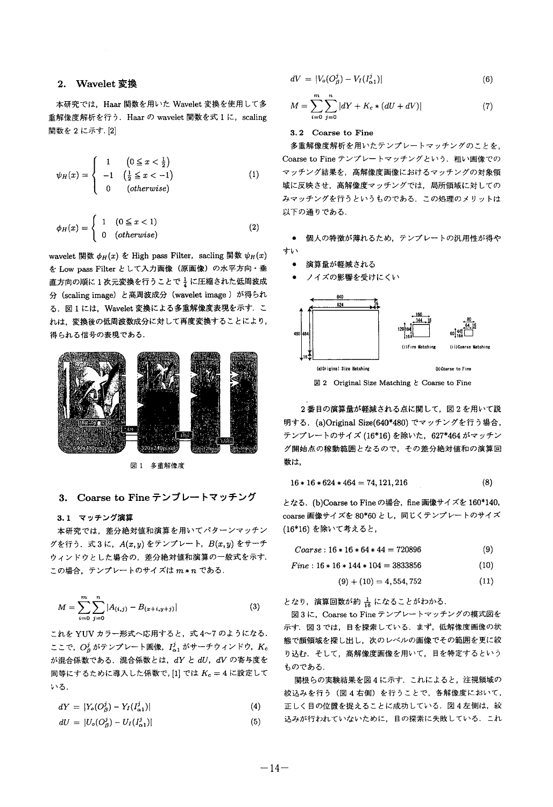### 2. Wavelet 変換

本研究では、Haar 関数を用いた Wavelet 変換を使用して多 行う, Haar の wavelet 関数を式上に, scaling 関数を2に示す. [2]

$$
\psi_H(x) = \begin{cases}\n1 & \left(0 \leq x < \frac{1}{2}\right) \\
-1 & \left(\frac{1}{2} \leq x < -1\right) \\
0 & \left(\text{otherwise}\right)\n\end{cases}\n\tag{1}
$$

$$
\phi_H(x) = \begin{cases} 1 & (0 \le x < 1) \\ 0 & (otherwise) \end{cases}
$$
 (2)

wavelet 関数  $\phi_H(x)$  を High pass Filter, sacling 関数  $\psi_H(x)$ を Low pass Filter として入力画像 (原画像) の水平方向・垂 直方向の順に1次元変換を行うことで→に圧縮された低周波成 分 (scaling image) と高周波成分 (wavelet image) が得られ る. 図1には、Wavelet 変換による多重解像度表現を示す. こ れは、変換後の低周波数成分に対して再度変換することにより、 得られる信号の表現である.



図 1 多重解像度

#### 3. Coarse to Fine テンプレートマッチング

#### 3.1 マッチング演算

本研究では、差分絶対値和演算を用いてパターンマッチン グを行う. 式3に,  $A(x, y)$ をテンプレート,  $B(x, y)$ をサーチ ウィンドウとした場合の、差分絶対値和演算の一般式を示す. この場合、テンプレートのサイズはm\*nである.

$$
M = \sum_{i=0}^{m} \sum_{j=0}^{n} |A_{(i,j)} - B_{(x+i,y+j)}| \tag{3}
$$

これを YUV カラー形式へ応用すると、式 4~7 のようになる. ここで、O2 がテンプレート画像, I2, がサーチウィンドウ, Kc が混合係数である. 混合係数とは、 $dY \tU$ ,  $dV$  の寄与度を 同等にするために導入した係数で, [1] では  $K_c = 4$ に設定して いる.

$$
dY = |Y_o(O^j_a) - Y_I(I^j_{o,1})| \tag{4}
$$

$$
dU = |U_o(O_\beta^j) - U_I(I_{\alpha 1}^j)| \tag{5}
$$

$$
dV = |V_o(O^j_{\beta}) - V_I(I^j_{\alpha 1})| \tag{6}
$$

$$
M = \sum_{i=0}^{m} \sum_{j=0}^{n} |dY + K_c * (dU + dV)|
$$
 (7)

#### 3. 2 Coarse to Fine

多重解像度解析を用いたテンプレートマッチングのことを、 Coarse to Fine テンプレートマッチングという. 粗い画像での マッチング結果を、高解像度画像におけるマッチングの対象領 域に反映させ、高解像度マッチングでは、局所領域に対しての みマッチングを行うというものである、この処理のメリットは 以下の通りである.

- 個人の特徴が薄れるため、テンプレートの汎用性が得や すい
	- 演算量が軽減される
	- ノイズの影響を受けにくい



 $\boxtimes$  2 Original Size Matching  $\xi$  Coarse to Fine

2番目の演算量が軽減される点に関して、図2を用いて説 明する. (a)Original Size(640\*480) でマッチングを行う場合, テンプレートのサイズ (16\*16) を除いた、627\*464 がマッチン グ開始点の稼動範囲となるので、その差分絶対値和の演算回 数は,

$$
16 * 16 * 624 * 464 = 74,121,216 \tag{8}
$$

となる.(b)Coarse to Fine の場合,fine 画像サイズを 160\*140, coarse 画像サイズを 80\*60 とし、同じくテンプレートのサイズ (16\*16) を除いて考えると,

| $Coarse: 16 * 16 * 64 * 44 = 720896$ | (9) |
|--------------------------------------|-----|
|--------------------------------------|-----|

 $Fire : 16 * 16 * 144 * 104 = 3833856$ (10)

$$
(9) + (10) = 4,554,752 \tag{11}
$$

となり、演算回数が約 品になることがわかる.

図3に、Coarse to Fine テンプレートマッチングの模式図を 示す、図3では、目を探索している、まず、低解像度画像の状 態で顔領域を探し出し、次のレベルの画像でその範囲を更に絞 り込む。そして、髙解像度画像を用いて、目を特定するという ものである.

関根らの実験結果を図4に示す、これによると、注視領域の 絞込みを行う (図4右側) を行うことで、各解像度において、 正しく目の位置を捉えることに成功している。図4左側は、絞 込みが行われていないために、目の探索に失敗している。これ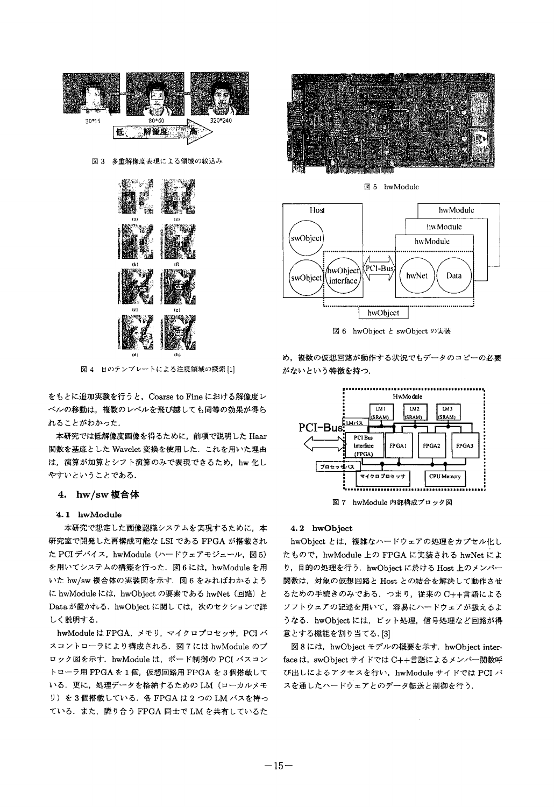



図4 目のテンプレートによる注視領域の探索[1]

をもとに追加実験を行うと、Coarse to Fine における解像度レ ベルの移動は、複数のレベルを飛び越しても同等の効果が得ら れることがわかった.

本研究では低解像度画像を得るために、前項で説明した Haar 関数を基底とした Wavelet 変換を使用した. これを用いた理由 は、演算が加算とシフト演算のみで表現できるため、hw 化し やすいということである.

#### 4. hw/sw 複合体

#### 4.1 hwModule

本研究で想定した画像認識システムを実現するために、本 研究室で開発した再構成可能な LSI である FPGA が搭載され た PCI デバイス, hwModule (ハードウェアモジュール,図5) を用いてシステムの構築を行った. 図6には、hwModuleを用 いた hw/sw 複合体の実装図を示す. 図6をみればわかるよう に hwModule には、hwObject の要素である hwNet (回路) と Data が置かれる. hwObject に関しては、次のセクションで詳 しく説明する.

hwModule は FPGA, メモリ, マイクロプロセッサ, PCI バ スコントローラにより構成される、図7には hwModule のブ ロック図を示す. hwModule は、ボード制御の PCI バスコン トローラ用 FPGA を1個,仮想回路用 FPGA を3個搭載して いる. 更に、処理データを格納するためのLM (ローカルメモ リ)を3個搭載している. 各 FPGA は2つの LM バスを持っ ている. また、隣り合う FPGA 同士で LM を共有しているた



図 5 hwModule



図 6 hwObject と swObject の実装

め、複数の仮想回路が動作する状況でもデータのコピーの必要 がないという特徴を持つ.



図7 hwModule 内部構成プロック図

#### 4.2 hwObject

hwObject とは、複雑なハードウェアの処理をカプセル化し たもので、hwModule 上の FPGA に実装される hwNet によ り、目的の処理を行う、hwObject に於ける Host 上のメンバー 関数は、対象の仮想回路と Host との結合を解決して動作させ るための手続きのみである. つまり、従来の C++言語による ソフトウェアの記述を用いて、容易にハードウェアが扱えるよ うなる. hwObject には、ビット処理、信号処理など回路が得 意とする機能を割り当てる.[3]

図 8 には、hwObject モデルの概要を示す. hwObject interface は、swObject サイドでは C++言語によるメンバー関数呼 び出しによるアクセスを行い、hwModule サイドでは PCI バ スを通したハードウェアとのデータ転送と制御を行う.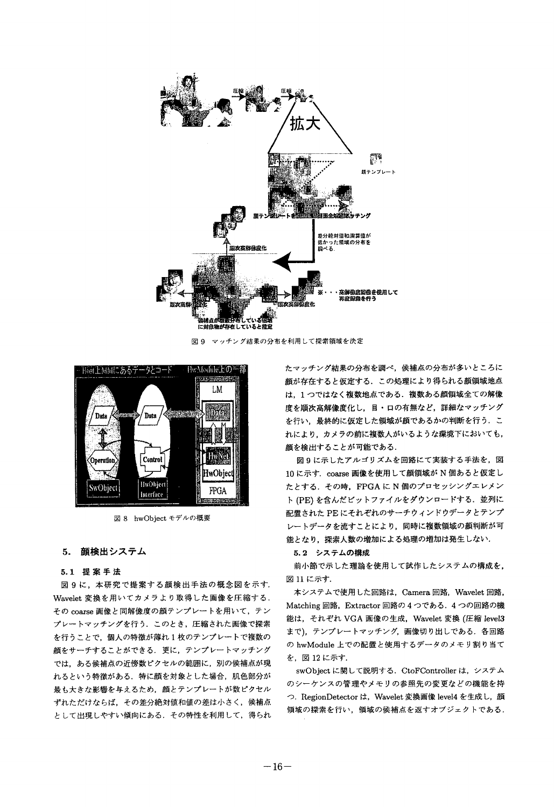

図 9 マッチング結果の分布を利用して探索領域を決定



図 8 hwObject モデルの概要

#### 5. 顔検出システム

#### 5.1 提案手法

図9に、本研究で提案する顔検出手法の概念図を示す. Wavelet 変換を用いてカメラより取得した画像を圧縮する. その coarse 画像と同解像度の顔テンプレートを用いて、テン プレートマッチングを行う、このとき、圧縮された画像で探索 を行うことで、個人の特徴が薄れ1枚のテンプレートで複数の 顔をサーチすることができる、更に、テンプレートマッチング では、ある候補点の近傍数ピクセルの範囲に、別の候補点が現 れるという特徴がある、特に顔を対象とした場合、肌色部分が 最も大きな影響を与えるため、顔とテンプレートが数ピクセル ずれただけならば、その差分絶対値和値の差は小さく、候補点 として出現しやすい傾向にある、その特性を利用して、得られ たマッチング結果の分布を調べ、候補点の分布が多いところに 顔が存在すると仮定する. この処理により得られる顔領城地点 は、1つではなく複数地点である。複数ある顔領域全ての解像 度を順次高解像度化し、目・口の有無など、詳細なマッチング を行い、最終的に仮定した領域が顔であるかの判断を行う。こ れにより、カメラの前に複数人がいるような環境下においても、 顔を検出することが可能である.

図9に示したアルゴリズムを回路にて実装する手法を、図 10に示す. coarse 画像を使用して顔領域が N 個あると仮定し たとする. その時, FPGA に N 個のプロセッシングエレメン ト (PE) を含んだビットファイルをダウンロードする. 並列に 配置された PE にそれぞれのサーチウィンドウデータとテンプ レートデータを流すことにより、同時に複数領域の顔判断が可 能となり、探索人数の増加による処理の増加は発生しない.

#### 5.2 システムの構成

前小節で示した理論を使用して試作したシステムの構成を、 図 11 に示す.

本システムで使用した回路は、Camera 回路、Wavelet 回路, Matching 回路, Extractor 回路の4つである. 4つの回路の機 能は、それぞれ VGA 画像の生成、Wavelet 変換 (圧縮 level3 まで), テンプレートマッチング, 画像切り出しである. 各回路 の hwModule 上での配置と使用するデータのメモリ割り当て を、図12に示す。

swObject に関して説明する. CtoFController は、システム のシーケンスの管理やメモリの参照先の変更などの機能を持 つ. RegionDetector は, Wavelet 変換画像 level4 を生成し,顔 領域の探索を行い、領域の候補点を返すオブジェクトである.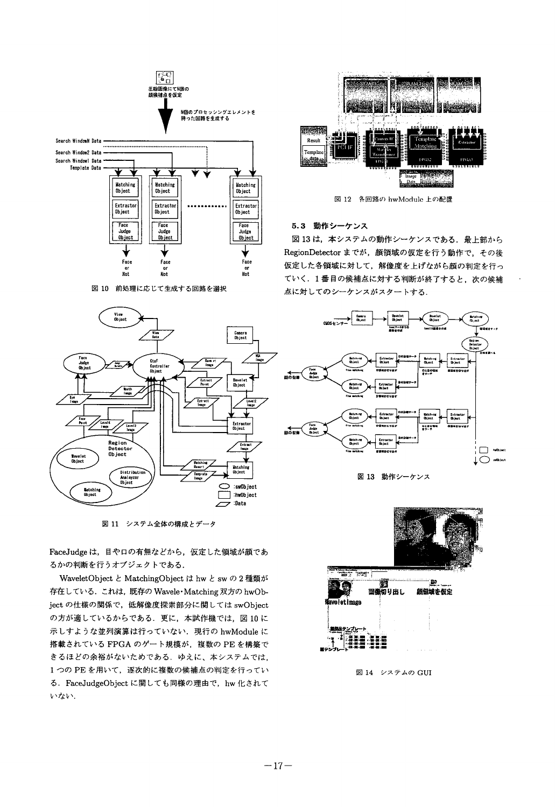

図 10 前処理に応じて生成する回路を選択



図 11 システム全体の構成とデータ

FaceJudge は、目や口の有無などから、仮定した領域が顔であ るかの判断を行うオブジェクトである.

WaveletObject と MatchingObject は hw と sw の 2 種類が 存在している. これは、既存の Wavele·Matching 双方の hwObject の仕様の関係で、低解像度探索部分に関しては swObject の方が適しているからである。更に、本試作機では、図10に 示しすような並列演算は行っていない、現行の hwModule に 搭載されている FPGA のゲート規模が、複数の PE を構築で きるほどの余裕がないためである。ゆえに、本システムでは, 1つの PE を用いて、逐次的に複数の候補点の判定を行ってい る. FaceJudgeObject に関しても同様の理由で、hw 化されて いない。



図 12 各回路の hwModule 上の配置

### 5.3 動作シーケンス

図13は、本システムの動作シーケンスである、最上部から RegionDetector までが、顔領域の仮定を行う動作で、その後 仮定した各領域に対して、解像度を上げながら顔の判定を行っ ていく. 1番目の候補点に対する判断が終了すると、次の候補 点に対してのシーケンスがスタートする.





図 13 動作シーケンス



図 14 システムの GUI